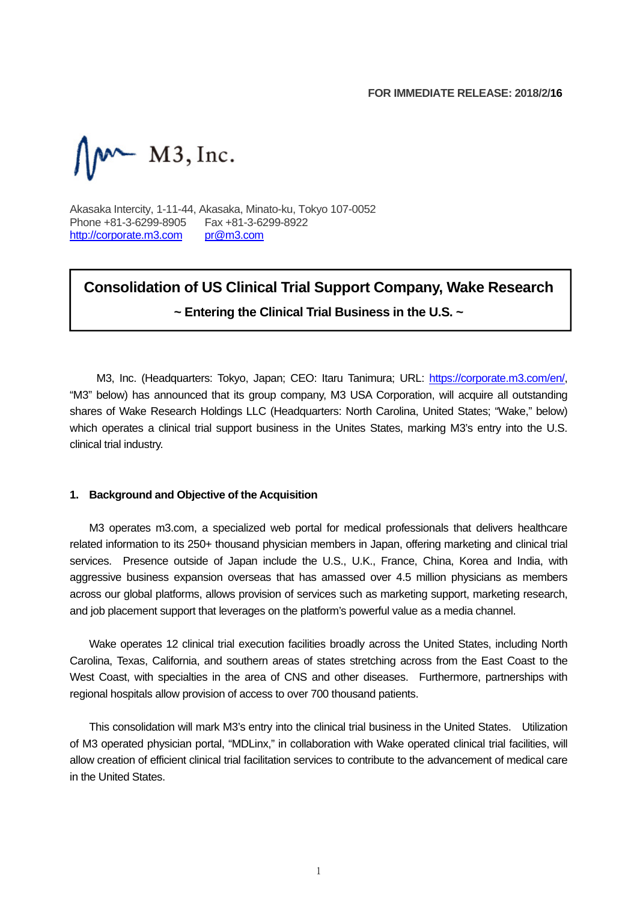$M \sim M3$ , Inc.

Akasaka Intercity, 1-11-44, Akasaka, Minato-ku, Tokyo 107-0052 Phone +81-3-6299-8905 Fax +81-3-6299-8922<br>http://corporate.m3.com pr@m3.com http://corporate.m3.com

## **Consolidation of US Clinical Trial Support Company, Wake Research ~ Entering the Clinical Trial Business in the U.S. ~**

M3, Inc. (Headquarters: Tokyo, Japan; CEO: Itaru Tanimura; URL: https://corporate.m3.com/en/, "M3" below) has announced that its group company, M3 USA Corporation, will acquire all outstanding shares of Wake Research Holdings LLC (Headquarters: North Carolina, United States; "Wake," below) which operates a clinical trial support business in the Unites States, marking M3's entry into the U.S. clinical trial industry.

#### **1. Background and Objective of the Acquisition**

M3 operates m3.com, a specialized web portal for medical professionals that delivers healthcare related information to its 250+ thousand physician members in Japan, offering marketing and clinical trial services. Presence outside of Japan include the U.S., U.K., France, China, Korea and India, with aggressive business expansion overseas that has amassed over 4.5 million physicians as members across our global platforms, allows provision of services such as marketing support, marketing research, and job placement support that leverages on the platform's powerful value as a media channel.

Wake operates 12 clinical trial execution facilities broadly across the United States, including North Carolina, Texas, California, and southern areas of states stretching across from the East Coast to the West Coast, with specialties in the area of CNS and other diseases. Furthermore, partnerships with regional hospitals allow provision of access to over 700 thousand patients.

This consolidation will mark M3's entry into the clinical trial business in the United States. Utilization of M3 operated physician portal, "MDLinx," in collaboration with Wake operated clinical trial facilities, will allow creation of efficient clinical trial facilitation services to contribute to the advancement of medical care in the United States.